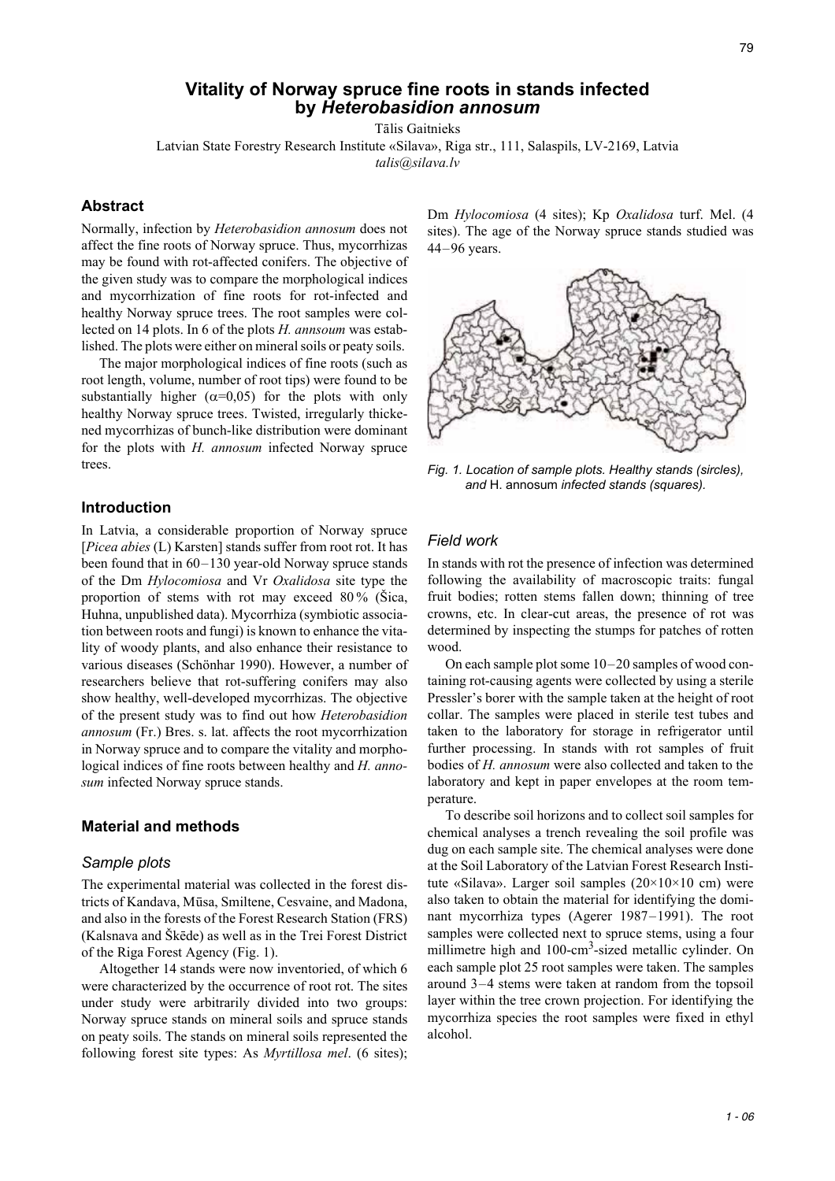# **Vitality of Norway spruce fine roots in stands infected by** *Heterobasidion annosum*

Tālis Gaitnieks

Latvian State Forestry Research Institute «Silava», Riga str., 111, Salaspils, LV-2169, Latvia *talis@silava.lv* 

**Abstract**

Normally, infection by *Heterobasidion annosum* does not affect the fine roots of Norway spruce. Thus, mycorrhizas may be found with rot-affected conifers. The objective of the given study was to compare the morphological indices and mycorrhization of fine roots for rot-infected and healthy Norway spruce trees. The root samples were collected on 14 plots. In 6 of the plots *H. annsoum* was established. The plots were either on mineral soils or peaty soils.

The major morphological indices of fine roots (such as root length, volume, number of root tips) were found to be substantially higher  $(\alpha=0.05)$  for the plots with only healthy Norway spruce trees. Twisted, irregularly thickened mycorrhizas of bunch-like distribution were dominant for the plots with *H. annosum* infected Norway spruce trees.

## **Introduction**

In Latvia, a considerable proportion of Norway spruce [*Picea abies* (L) Karsten] stands suffer from root rot. It has been found that in 60–130 year-old Norway spruce stands of the Dm *Hylocomiosa* and Vr *Oxalidosa* site type the proportion of stems with rot may exceed 80 % (Šica, Huhna, unpublished data). Mycorrhiza (symbiotic association between roots and fungi) is known to enhance the vitality of woody plants, and also enhance their resistance to various diseases (Schönhar 1990). However, a number of researchers believe that rot-suffering conifers may also show healthy, well-developed mycorrhizas. The objective of the present study was to find out how *Heterobasidion annosum* (Fr.) Bres. s. lat. affects the root mycorrhization in Norway spruce and to compare the vitality and morphological indices of fine roots between healthy and *H. annosum* infected Norway spruce stands.

### **Material and methods**

### *Sample plots*

The experimental material was collected in the forest districts of Kandava, Mūsa, Smiltene, Cesvaine, and Madona, and also in the forests of the Forest Research Station (FRS) (Kalsnava and Škēde) as well as in the Trei Forest District of the Riga Forest Agency (Fig. 1).

Altogether 14 stands were now inventoried, of which 6 were characterized by the occurrence of root rot. The sites under study were arbitrarily divided into two groups: Norway spruce stands on mineral soils and spruce stands on peaty soils. The stands on mineral soils represented the following forest site types: As *Myrtillosa mel*. (6 sites); Dm *Hylocomiosa* (4 sites); Kp *Oxalidosa* turf. Mel. (4 sites). The age of the Norway spruce stands studied was 44–96 years.



*Fig. 1. Location of sample plots. Healthy stands (sircles), and* H. annosum *infected stands (squares).*

#### *Field work*

In stands with rot the presence of infection was determined following the availability of macroscopic traits: fungal fruit bodies; rotten stems fallen down; thinning of tree crowns, etc. In clear-cut areas, the presence of rot was determined by inspecting the stumps for patches of rotten wood.

On each sample plot some 10–20 samples of wood containing rot-causing agents were collected by using a sterile Pressler's borer with the sample taken at the height of root collar. The samples were placed in sterile test tubes and taken to the laboratory for storage in refrigerator until further processing. In stands with rot samples of fruit bodies of *H. annosum* were also collected and taken to the laboratory and kept in paper envelopes at the room temperature.

To describe soil horizons and to collect soil samples for chemical analyses a trench revealing the soil profile was dug on each sample site. The chemical analyses were done at the Soil Laboratory of the Latvian Forest Research Institute «Silava». Larger soil samples (20×10×10 cm) were also taken to obtain the material for identifying the dominant mycorrhiza types (Agerer 1987–1991). The root samples were collected next to spruce stems, using a four millimetre high and 100-cm<sup>3</sup>-sized metallic cylinder. On each sample plot 25 root samples were taken. The samples around 3–4 stems were taken at random from the topsoil layer within the tree crown projection. For identifying the mycorrhiza species the root samples were fixed in ethyl alcohol.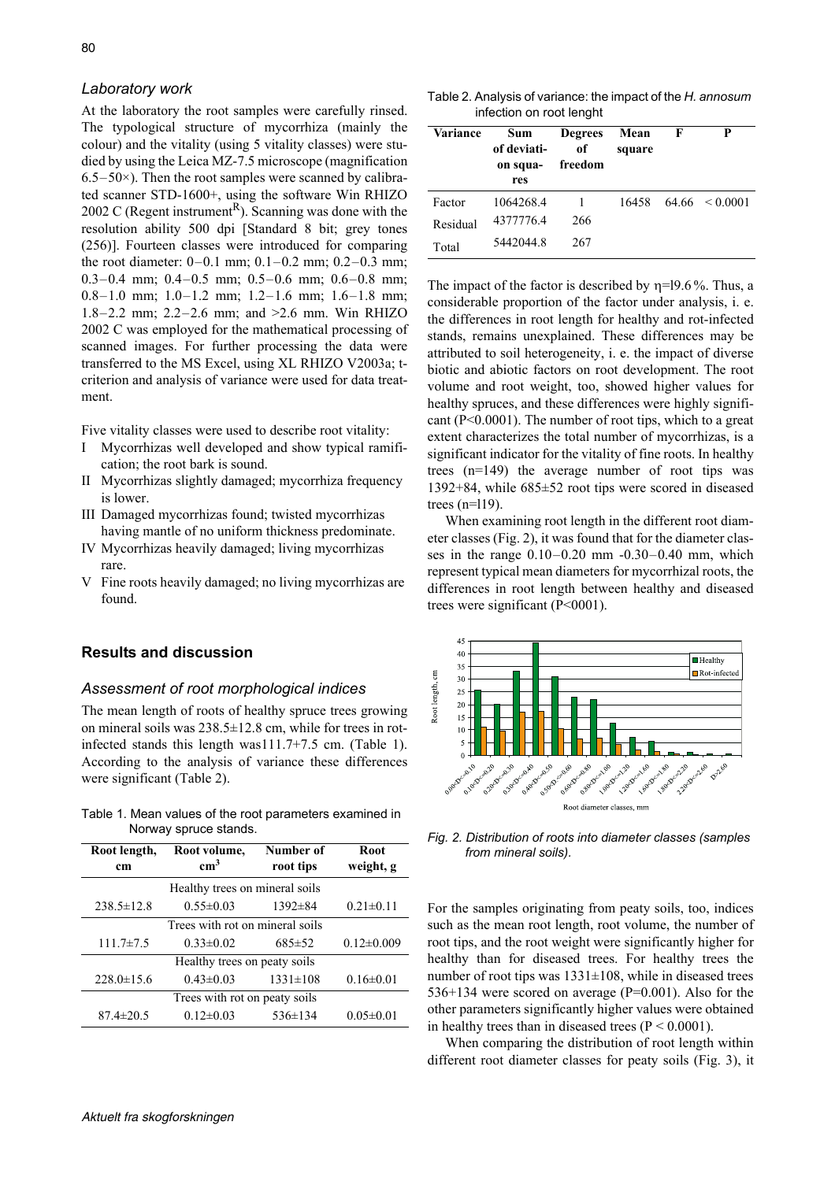### *Laboratory work*

At the laboratory the root samples were carefully rinsed. The typological structure of mycorrhiza (mainly the colour) and the vitality (using 5 vitality classes) were studied by using the Leica MZ-7.5 microscope (magnification  $6.5-50\times$ ). Then the root samples were scanned by calibrated scanner STD-1600+, using the software Win RHIZO 2002 C (Regent instrument<sup>R</sup>). Scanning was done with the resolution ability 500 dpi [Standard 8 bit; grey tones (256)]. Fourteen classes were introduced for comparing the root diameter: 0–0.1 mm; 0.1–0.2 mm; 0.2–0.3 mm; 0.3–0.4 mm; 0.4–0.5 mm; 0.5–0.6 mm; 0.6–0.8 mm; 0.8–1.0 mm; 1.0–1.2 mm; 1.2–1.6 mm; 1.6–1.8 mm; 1.8–2.2 mm; 2.2–2.6 mm; and >2.6 mm. Win RHIZO 2002 C was employed for the mathematical processing of scanned images. For further processing the data were transferred to the MS Excel, using XL RHIZO V2003a; tcriterion and analysis of variance were used for data treatment.

Five vitality classes were used to describe root vitality:

- I Mycorrhizas well developed and show typical ramification; the root bark is sound.
- II Mycorrhizas slightly damaged; mycorrhiza frequency is lower.
- III Damaged mycorrhizas found; twisted mycorrhizas having mantle of no uniform thickness predominate.
- IV Mycorrhizas heavily damaged; living mycorrhizas rare.
- V Fine roots heavily damaged; no living mycorrhizas are found.

## **Results and discussion**

### *Assessment of root morphological indices*

The mean length of roots of healthy spruce trees growing on mineral soils was 238.5±12.8 cm, while for trees in rotinfected stands this length was111.7+7.5 cm. (Table 1). According to the analysis of variance these differences were significant (Table 2).

Table 1. Mean values of the root parameters examined in Norway spruce stands.

| Root length,<br>cm              | Root volume,<br>cm <sup>3</sup> | Number of<br>root tips | <b>Root</b><br>weight, g |  |  |  |  |
|---------------------------------|---------------------------------|------------------------|--------------------------|--|--|--|--|
| Healthy trees on mineral soils  |                                 |                        |                          |  |  |  |  |
| $238.5 \pm 12.8$                | $0.55 \pm 0.03$                 | $1392 \pm 84$          | $0.21 \pm 0.11$          |  |  |  |  |
| Trees with rot on mineral soils |                                 |                        |                          |  |  |  |  |
| $111.7 \pm 7.5$                 | $0.33 \pm 0.02$                 | $685 \pm 52$           | $0.12 \pm 0.009$         |  |  |  |  |
| Healthy trees on peaty soils    |                                 |                        |                          |  |  |  |  |
| $228.0 \pm 15.6$                | $0.43 \pm 0.03$                 | $1331 \pm 108$         | $0.16 \pm 0.01$          |  |  |  |  |
| Trees with rot on peaty soils   |                                 |                        |                          |  |  |  |  |
| $87.4 \pm 20.5$                 | $0.12 \pm 0.03$                 | $536 \pm 134$          | $0.05 \pm 0.01$          |  |  |  |  |

Table 2. Analysis of variance: the impact of the *H. annosum* infection on root lenght

| Variance | Sum<br>of deviati-<br>on squa-<br>res | <b>Degrees</b><br>of<br>freedom | Mean<br>square | F     | P             |
|----------|---------------------------------------|---------------------------------|----------------|-------|---------------|
| Factor   | 1064268.4                             |                                 | 16458          | 64.66 | $\leq 0.0001$ |
| Residual | 4377776.4                             | 266                             |                |       |               |
| Total    | 54420448                              | 267                             |                |       |               |

The impact of the factor is described by  $n=19.6$ %. Thus, a considerable proportion of the factor under analysis, i. e. the differences in root length for healthy and rot-infected stands, remains unexplained. These differences may be attributed to soil heterogeneity, i. e. the impact of diverse biotic and abiotic factors on root development. The root volume and root weight, too, showed higher values for healthy spruces, and these differences were highly significant  $(P<0.0001)$ . The number of root tips, which to a great extent characterizes the total number of mycorrhizas, is a significant indicator for the vitality of fine roots. In healthy trees (n=149) the average number of root tips was 1392+84, while 685±52 root tips were scored in diseased trees  $(n=119)$ .

When examining root length in the different root diameter classes (Fig. 2), it was found that for the diameter classes in the range  $0.10 - 0.20$  mm  $-0.30 - 0.40$  mm, which represent typical mean diameters for mycorrhizal roots, the differences in root length between healthy and diseased trees were significant (P<0001).



*Fig. 2. Distribution of roots into diameter classes (samples from mineral soils).*

For the samples originating from peaty soils, too, indices such as the mean root length, root volume, the number of root tips, and the root weight were significantly higher for healthy than for diseased trees. For healthy trees the number of root tips was  $1331\pm108$ , while in diseased trees 536+134 were scored on average (P=0.001). Also for the other parameters significantly higher values were obtained in healthy trees than in diseased trees  $(P < 0.0001)$ .

When comparing the distribution of root length within different root diameter classes for peaty soils (Fig. 3), it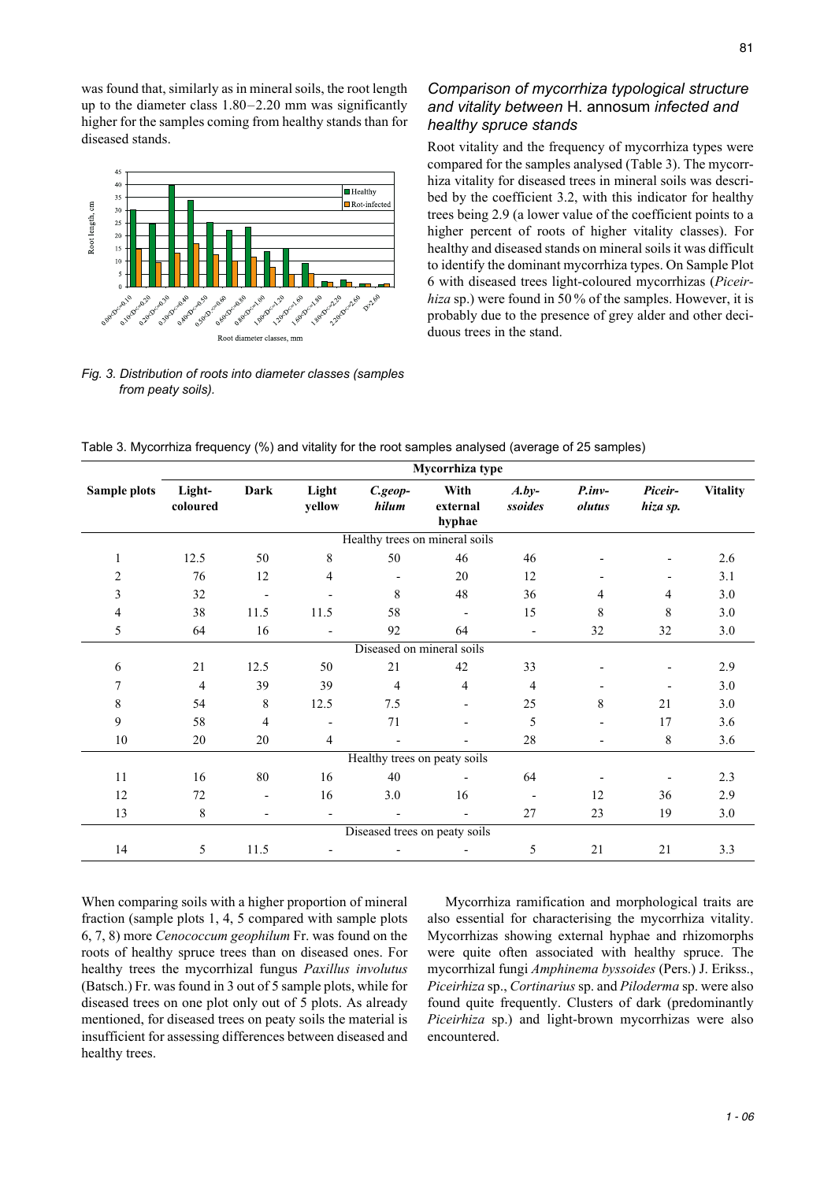was found that, similarly as in mineral soils, the root length up to the diameter class 1.80–2.20 mm was significantly higher for the samples coming from healthy stands than for diseased stands.



## *Fig. 3. Distribution of roots into diameter classes (samples from peaty soils).*

# *Comparison of mycorrhiza typological structure and vitality between* H. annosum *infected and healthy spruce stands*

Root vitality and the frequency of mycorrhiza types were compared for the samples analysed (Table 3). The mycorrhiza vitality for diseased trees in mineral soils was described by the coefficient 3.2, with this indicator for healthy trees being 2.9 (a lower value of the coefficient points to a higher percent of roots of higher vitality classes). For healthy and diseased stands on mineral soils it was difficult to identify the dominant mycorrhiza types. On Sample Plot 6 with diseased trees light-coloured mycorrhizas (*Piceirhiza* sp.) were found in 50 % of the samples. However, it is probably due to the presence of grey alder and other deciduous trees in the stand.

|              | Mycorrhiza type    |                          |                 |                           |                                |                          |                    |                     |                 |
|--------------|--------------------|--------------------------|-----------------|---------------------------|--------------------------------|--------------------------|--------------------|---------------------|-----------------|
| Sample plots | Light-<br>coloured | <b>Dark</b>              | Light<br>yellow | C.geop-<br>hilum          | With<br>external<br>hyphae     | $A.by-$<br>ssoides       | $P.inv-$<br>olutus | Piceir-<br>hiza sp. | <b>Vitality</b> |
|              |                    |                          |                 |                           | Healthy trees on mineral soils |                          |                    |                     |                 |
| 1            | 12.5               | 50                       | 8               | 50                        | 46                             | 46                       |                    |                     | 2.6             |
| 2            | 76                 | 12                       | 4               |                           | 20                             | 12                       |                    |                     | 3.1             |
| 3            | 32                 |                          |                 | 8                         | 48                             | 36                       | 4                  | 4                   | 3.0             |
| 4            | 38                 | 11.5                     | 11.5            | 58                        |                                | 15                       | 8                  | 8                   | 3.0             |
| 5            | 64                 | 16                       |                 | 92                        | 64                             | $\overline{a}$           | 32                 | 32                  | 3.0             |
|              |                    |                          |                 | Diseased on mineral soils |                                |                          |                    |                     |                 |
| 6            | 21                 | 12.5                     | 50              | 21                        | 42                             | 33                       |                    |                     | 2.9             |
| 7            | $\overline{4}$     | 39                       | 39              | $\overline{4}$            | 4                              | $\overline{4}$           |                    |                     | 3.0             |
| $\,$ 8 $\,$  | 54                 | 8                        | 12.5            | 7.5                       |                                | 25                       | 8                  | 21                  | 3.0             |
| 9            | 58                 | $\overline{4}$           |                 | 71                        |                                | 5                        |                    | 17                  | 3.6             |
| $10\,$       | 20                 | 20                       | $\overline{4}$  |                           |                                | 28                       |                    | 8                   | 3.6             |
|              |                    |                          |                 |                           | Healthy trees on peaty soils   |                          |                    |                     |                 |
| 11           | 16                 | 80                       | 16              | 40                        |                                | 64                       |                    |                     | 2.3             |
| 12           | 72                 | $\overline{\phantom{a}}$ | 16              | 3.0                       | 16                             | $\overline{\phantom{a}}$ | 12                 | 36                  | 2.9             |
| 13           | 8                  |                          |                 |                           |                                | 27                       | 23                 | 19                  | $3.0\,$         |
|              |                    |                          |                 |                           | Diseased trees on peaty soils  |                          |                    |                     |                 |
| 14           | 5                  | 11.5                     |                 |                           |                                | 5                        | 21                 | 21                  | 3.3             |

When comparing soils with a higher proportion of mineral fraction (sample plots 1, 4, 5 compared with sample plots 6, 7, 8) more *Cenococcum geophilum* Fr. was found on the roots of healthy spruce trees than on diseased ones. For healthy trees the mycorrhizal fungus *Paxillus involutus* (Batsch.) Fr. was found in 3 out of 5 sample plots, while for diseased trees on one plot only out of 5 plots. As already mentioned, for diseased trees on peaty soils the material is insufficient for assessing differences between diseased and healthy trees.

Mycorrhiza ramification and morphological traits are also essential for characterising the mycorrhiza vitality. Mycorrhizas showing external hyphae and rhizomorphs were quite often associated with healthy spruce. The mycorrhizal fungi *Amphinema byssoides* (Pers.) J. Erikss., *Piceirhiza* sp., *Cortinarius* sp. and *Piloderma* sp. were also found quite frequently. Clusters of dark (predominantly *Piceirhiza* sp.) and light-brown mycorrhizas were also encountered.